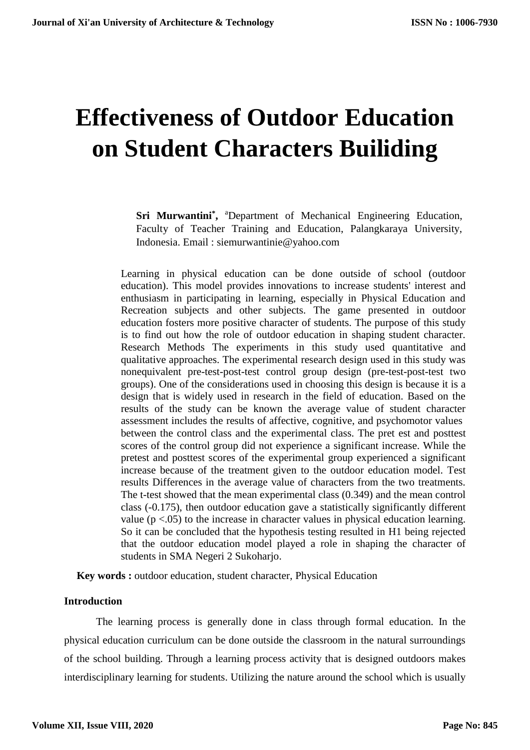# **Effectiveness of Outdoor Education on Student Characters Builiding**

Sri Murwantini<sup>\*</sup>, <sup>a</sup>Department of Mechanical Engineering Education, Faculty of Teacher Training and Education, Palangkaraya University, Indonesia. Email : siemurwantinie@yahoo.com

Learning in physical education can be done outside of school (outdoor education). This model provides innovations to increase students' interest and enthusiasm in participating in learning, especially in Physical Education and Recreation subjects and other subjects. The game presented in outdoor education fosters more positive character of students. The purpose of this study is to find out how the role of outdoor education in shaping student character. Research Methods The experiments in this study used quantitative and qualitative approaches. The experimental research design used in this study was nonequivalent pre-test-post-test control group design (pre-test-post-test two groups). One of the considerations used in choosing this design is because it is a design that is widely used in research in the field of education. Based on the results of the study can be known the average value of student character assessment includes the results of affective, cognitive, and psychomotor values between the control class and the experimental class. The pret est and posttest scores of the control group did not experience a significant increase. While the pretest and posttest scores of the experimental group experienced a significant increase because of the treatment given to the outdoor education model. Test results Differences in the average value of characters from the two treatments. The t-test showed that the mean experimental class (0.349) and the mean control class (-0.175), then outdoor education gave a statistically significantly different value  $(p < .05)$  to the increase in character values in physical education learning. So it can be concluded that the hypothesis testing resulted in H1 being rejected that the outdoor education model played a role in shaping the character of students in SMA Negeri 2 Sukoharjo.

**Key words :** outdoor education, student character, Physical Education

## **Introduction**

The learning process is generally done in class through formal education. In the physical education curriculum can be done outside the classroom in the natural surroundings of the school building. Through a learning process activity that is designed outdoors makes interdisciplinary learning for students. Utilizing the nature around the school which is usually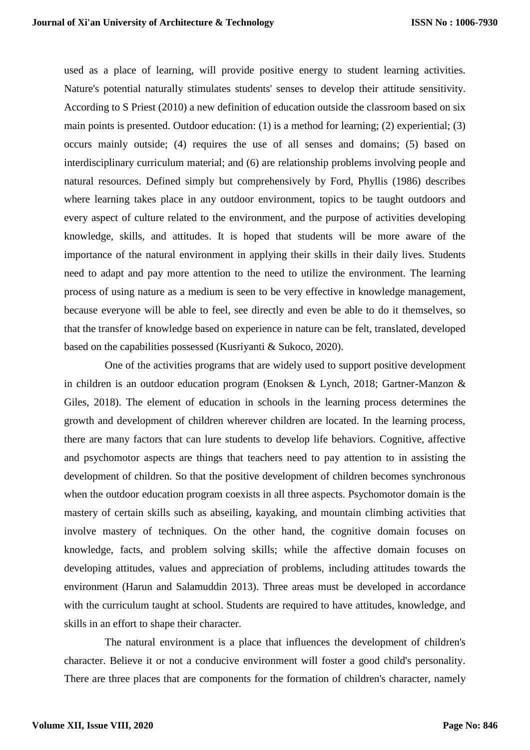used as a place of learning, will provide positive energy to student learning activities. Nature's potential naturally stimulates students' senses to develop their attitude sensitivity. According to S Priest (2010) a new definition of education outside the classroom based on six main points is presented. Outdoor education: (1) is a method for learning; (2) experiential; (3) occurs mainly outside; (4) requires the use of all senses and domains; (5) based on interdisciplinary curriculum material; and (6) are relationship problems involving people and natural resources. Defined simply but comprehensively by Ford, Phyllis (1986) describes where learning takes place in any outdoor environment, topics to be taught outdoors and every aspect of culture related to the environment, and the purpose of activities developing knowledge, skills, and attitudes. It is hoped that students will be more aware of the importance of the natural environment in applying their skills in their daily lives. Students need to adapt and pay more attention to the need to utilize the environment. The learning process of using nature as a medium is seen to be very effective in knowledge management, because everyone will be able to feel, see directly and even be able to do it themselves, so that the transfer of knowledge based on experience in nature can be felt, translated, developed based on the capabilities possessed (Kusriyanti & Sukoco, 2020).

One of the activities programs that are widely used to support positive development in children is an outdoor education program (Enoksen & Lynch, 2018; Gartner-Manzon & Giles, 2018). The element of education in schools in the learning process determines the growth and development of children wherever children are located. In the learning process, there are many factors that can lure students to develop life behaviors. Cognitive, affective and psychomotor aspects are things that teachers need to pay attention to in assisting the development of children. So that the positive development of children becomes synchronous when the outdoor education program coexists in all three aspects. Psychomotor domain is the mastery of certain skills such as abseiling, kayaking, and mountain climbing activities that involve mastery of techniques. On the other hand, the cognitive domain focuses on knowledge, facts, and problem solving skills; while the affective domain focuses on developing attitudes, values and appreciation of problems, including attitudes towards the environment (Harun and Salamuddin 2013). Three areas must be developed in accordance with the curriculum taught at school. Students are required to have attitudes, knowledge, and skills in an effort to shape their character.

The natural environment is a place that influences the development of children's character. Believe it or not a conducive environment will foster a good child's personality. There are three places that are components for the formation of children's character, namely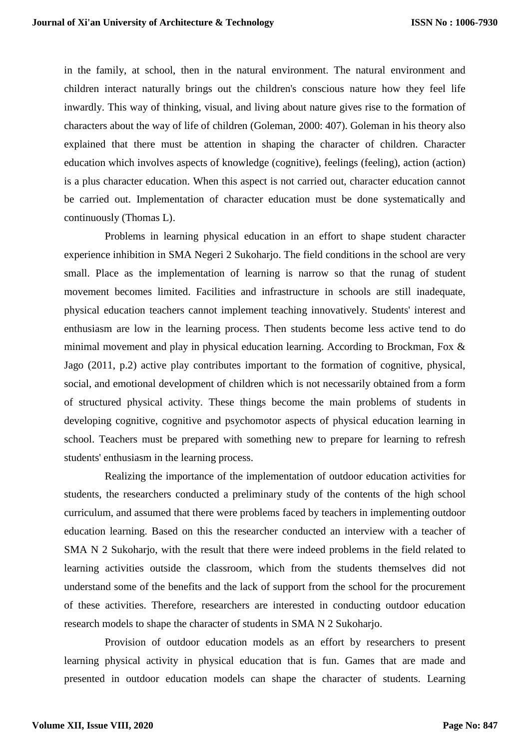in the family, at school, then in the natural environment. The natural environment and children interact naturally brings out the children's conscious nature how they feel life inwardly. This way of thinking, visual, and living about nature gives rise to the formation of characters about the way of life of children (Goleman, 2000: 407). Goleman in his theory also explained that there must be attention in shaping the character of children. Character education which involves aspects of knowledge (cognitive), feelings (feeling), action (action) is a plus character education. When this aspect is not carried out, character education cannot be carried out. Implementation of character education must be done systematically and continuously (Thomas L).

Problems in learning physical education in an effort to shape student character experience inhibition in SMA Negeri 2 Sukoharjo. The field conditions in the school are very small. Place as the implementation of learning is narrow so that the runag of student movement becomes limited. Facilities and infrastructure in schools are still inadequate, physical education teachers cannot implement teaching innovatively. Students' interest and enthusiasm are low in the learning process. Then students become less active tend to do minimal movement and play in physical education learning. According to Brockman, Fox & Jago (2011, p.2) active play contributes important to the formation of cognitive, physical, social, and emotional development of children which is not necessarily obtained from a form of structured physical activity. These things become the main problems of students in developing cognitive, cognitive and psychomotor aspects of physical education learning in school. Teachers must be prepared with something new to prepare for learning to refresh students' enthusiasm in the learning process.

Realizing the importance of the implementation of outdoor education activities for students, the researchers conducted a preliminary study of the contents of the high school curriculum, and assumed that there were problems faced by teachers in implementing outdoor education learning. Based on this the researcher conducted an interview with a teacher of SMA N 2 Sukoharjo, with the result that there were indeed problems in the field related to learning activities outside the classroom, which from the students themselves did not understand some of the benefits and the lack of support from the school for the procurement of these activities. Therefore, researchers are interested in conducting outdoor education research models to shape the character of students in SMA N 2 Sukoharjo.

Provision of outdoor education models as an effort by researchers to present learning physical activity in physical education that is fun. Games that are made and presented in outdoor education models can shape the character of students. Learning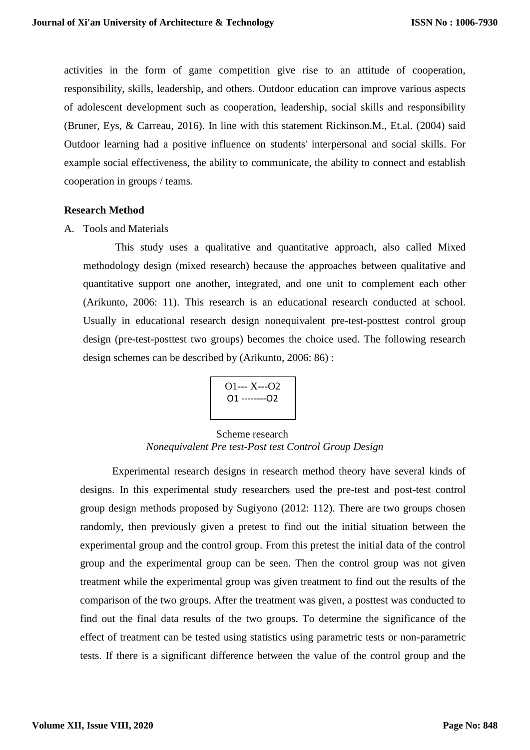activities in the form of game competition give rise to an attitude of cooperation, responsibility, skills, leadership, and others. Outdoor education can improve various aspects of adolescent development such as cooperation, leadership, social skills and responsibility (Bruner, Eys, & Carreau, 2016). In line with this statement Rickinson.M., Et.al. (2004) said Outdoor learning had a positive influence on students' interpersonal and social skills. For example social effectiveness, the ability to communicate, the ability to connect and establish cooperation in groups / teams.

#### **Research Method**

A. Tools and Materials

This study uses a qualitative and quantitative approach, also called Mixed methodology design (mixed research) because the approaches between qualitative and quantitative support one another, integrated, and one unit to complement each other (Arikunto, 2006: 11). This research is an educational research conducted at school. Usually in educational research design nonequivalent pre-test-posttest control group design (pre-test-posttest two groups) becomes the choice used. The following research design schemes can be described by (Arikunto, 2006: 86) :

$$
\begin{array}{c}\n01--X--02 \\
01---02\n\end{array}
$$

## Scheme research *Nonequivalent Pre test-Post test Control Group Design*

Experimental research designs in research method theory have several kinds of designs. In this experimental study researchers used the pre-test and post-test control group design methods proposed by Sugiyono (2012: 112). There are two groups chosen randomly, then previously given a pretest to find out the initial situation between the experimental group and the control group. From this pretest the initial data of the control group and the experimental group can be seen. Then the control group was not given treatment while the experimental group was given treatment to find out the results of the comparison of the two groups. After the treatment was given, a posttest was conducted to find out the final data results of the two groups. To determine the significance of the effect of treatment can be tested using statistics using parametric tests or non-parametric tests. If there is a significant difference between the value of the control group and the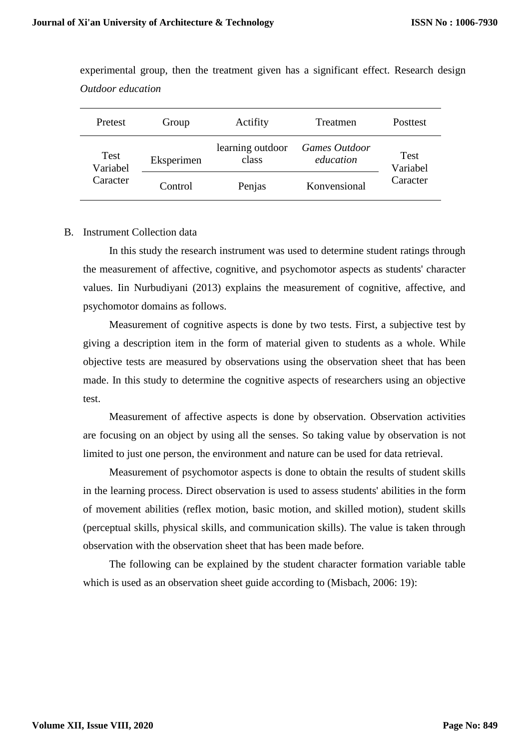| Pretest                      | Group      | Actifity                  | Treatmen                   | Posttest                |
|------------------------------|------------|---------------------------|----------------------------|-------------------------|
| Test<br>Variabel<br>Caracter | Eksperimen | learning outdoor<br>class | Games Outdoor<br>education | <b>Test</b><br>Variabel |
|                              | Control    | Penjas                    | Konvensional               | Caracter                |

experimental group, then the treatment given has a significant effect. Research design *Outdoor education*

#### B. Instrument Collection data

In this study the research instrument was used to determine student ratings through the measurement of affective, cognitive, and psychomotor aspects as students' character values. Iin Nurbudiyani (2013) explains the measurement of cognitive, affective, and psychomotor domains as follows.

Measurement of cognitive aspects is done by two tests. First, a subjective test by giving a description item in the form of material given to students as a whole. While objective tests are measured by observations using the observation sheet that has been made. In this study to determine the cognitive aspects of researchers using an objective test.

Measurement of affective aspects is done by observation. Observation activities are focusing on an object by using all the senses. So taking value by observation is not limited to just one person, the environment and nature can be used for data retrieval.

Measurement of psychomotor aspects is done to obtain the results of student skills in the learning process. Direct observation is used to assess students' abilities in the form of movement abilities (reflex motion, basic motion, and skilled motion), student skills (perceptual skills, physical skills, and communication skills). The value is taken through observation with the observation sheet that has been made before.

The following can be explained by the student character formation variable table which is used as an observation sheet guide according to (Misbach, 2006: 19):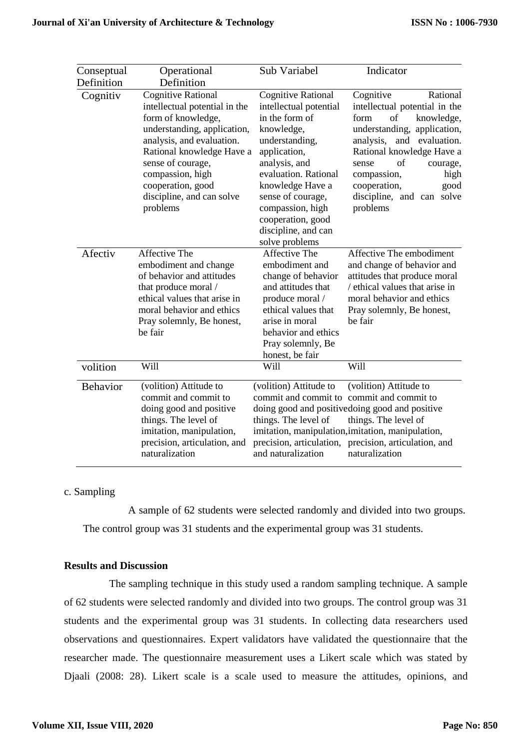| Conseptual      | Operational                                                                                                                                                                                                                                                                      | Sub Variabel                                                                                                                                                                                                                                                                              | Indicator                                                                                                                                                                                                                                                                                         |  |  |
|-----------------|----------------------------------------------------------------------------------------------------------------------------------------------------------------------------------------------------------------------------------------------------------------------------------|-------------------------------------------------------------------------------------------------------------------------------------------------------------------------------------------------------------------------------------------------------------------------------------------|---------------------------------------------------------------------------------------------------------------------------------------------------------------------------------------------------------------------------------------------------------------------------------------------------|--|--|
| Definition      | Definition                                                                                                                                                                                                                                                                       |                                                                                                                                                                                                                                                                                           |                                                                                                                                                                                                                                                                                                   |  |  |
| Cognitiv        | <b>Cognitive Rational</b><br>intellectual potential in the<br>form of knowledge,<br>understanding, application,<br>analysis, and evaluation.<br>Rational knowledge Have a<br>sense of courage,<br>compassion, high<br>cooperation, good<br>discipline, and can solve<br>problems | <b>Cognitive Rational</b><br>intellectual potential<br>in the form of<br>knowledge,<br>understanding,<br>application,<br>analysis, and<br>evaluation. Rational<br>knowledge Have a<br>sense of courage,<br>compassion, high<br>cooperation, good<br>discipline, and can<br>solve problems | Cognitive<br>Rational<br>intellectual potential in the<br>of<br>form<br>knowledge,<br>understanding, application,<br>analysis,<br>and evaluation.<br>Rational knowledge Have a<br>of<br>sense<br>courage,<br>compassion,<br>high<br>cooperation,<br>good<br>discipline, and can solve<br>problems |  |  |
| Afectiv         | Affective The<br>embodiment and change<br>of behavior and attitudes<br>that produce moral /<br>ethical values that arise in<br>moral behavior and ethics<br>Pray solemnly, Be honest,<br>be fair                                                                                 | Affective The<br>embodiment and<br>change of behavior<br>and attitudes that<br>produce moral /<br>ethical values that<br>arise in moral<br>behavior and ethics<br>Pray solemnly, Be<br>honest, be fair                                                                                    | Affective The embodiment<br>and change of behavior and<br>attitudes that produce moral<br>/ ethical values that arise in<br>moral behavior and ethics<br>Pray solemnly, Be honest,<br>be fair                                                                                                     |  |  |
| volition        | Will                                                                                                                                                                                                                                                                             | Will                                                                                                                                                                                                                                                                                      | Will                                                                                                                                                                                                                                                                                              |  |  |
| <b>Behavior</b> | (volition) Attitude to<br>commit and commit to<br>doing good and positive<br>things. The level of<br>imitation, manipulation,<br>precision, articulation, and<br>naturalization                                                                                                  | (volition) Attitude to<br>things. The level of<br>precision, articulation,<br>and naturalization                                                                                                                                                                                          | (volition) Attitude to<br>commit and commit to commit and commit to<br>doing good and positive doing good and positive<br>things. The level of<br>imitation, manipulation, imitation, manipulation,<br>precision, articulation, and<br>naturalization                                             |  |  |

## c. Sampling

A sample of 62 students were selected randomly and divided into two groups. The control group was 31 students and the experimental group was 31 students.

# **Results and Discussion**

The sampling technique in this study used a random sampling technique. A sample of 62 students were selected randomly and divided into two groups. The control group was 31 students and the experimental group was 31 students. In collecting data researchers used observations and questionnaires. Expert validators have validated the questionnaire that the researcher made. The questionnaire measurement uses a Likert scale which was stated by Djaali (2008: 28). Likert scale is a scale used to measure the attitudes, opinions, and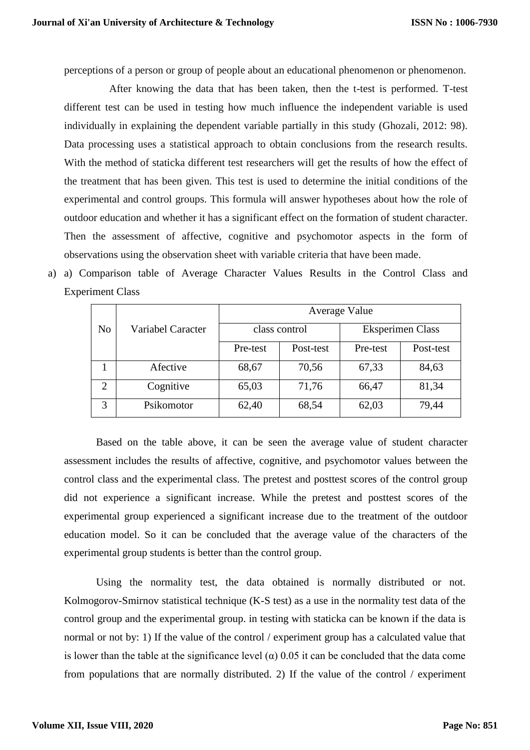perceptions of a person or group of people about an educational phenomenon or phenomenon.

After knowing the data that has been taken, then the t-test is performed. T-test different test can be used in testing how much influence the independent variable is used individually in explaining the dependent variable partially in this study (Ghozali, 2012: 98). Data processing uses a statistical approach to obtain conclusions from the research results. With the method of staticka different test researchers will get the results of how the effect of the treatment that has been given. This test is used to determine the initial conditions of the experimental and control groups. This formula will answer hypotheses about how the role of outdoor education and whether it has a significant effect on the formation of student character. Then the assessment of affective, cognitive and psychomotor aspects in the form of observations using the observation sheet with variable criteria that have been made.

a) a) Comparison table of Average Character Values Results in the Control Class and Experiment Class

|                |                   | Average Value |               |                         |           |  |  |  |
|----------------|-------------------|---------------|---------------|-------------------------|-----------|--|--|--|
| N <sub>o</sub> | Variabel Caracter |               | class control | <b>Eksperimen Class</b> |           |  |  |  |
|                |                   | Pre-test      | Post-test     | Pre-test                | Post-test |  |  |  |
|                | Afective          | 68,67         | 70,56         | 67,33                   | 84,63     |  |  |  |
| $\overline{2}$ | Cognitive         | 65,03         | 71,76         | 66,47                   | 81,34     |  |  |  |
| 3              | Psikomotor        | 62,40         | 68,54         | 62,03                   | 79,44     |  |  |  |

Based on the table above, it can be seen the average value of student character assessment includes the results of affective, cognitive, and psychomotor values between the control class and the experimental class. The pretest and posttest scores of the control group did not experience a significant increase. While the pretest and posttest scores of the experimental group experienced a significant increase due to the treatment of the outdoor education model. So it can be concluded that the average value of the characters of the experimental group students is better than the control group.

Using the normality test, the data obtained is normally distributed or not. Kolmogorov-Smirnov statistical technique (K-S test) as a use in the normality test data of the control group and the experimental group. in testing with staticka can be known if the data is normal or not by: 1) If the value of the control / experiment group has a calculated value that is lower than the table at the significance level ( $\alpha$ ) 0.05 it can be concluded that the data come from populations that are normally distributed. 2) If the value of the control / experiment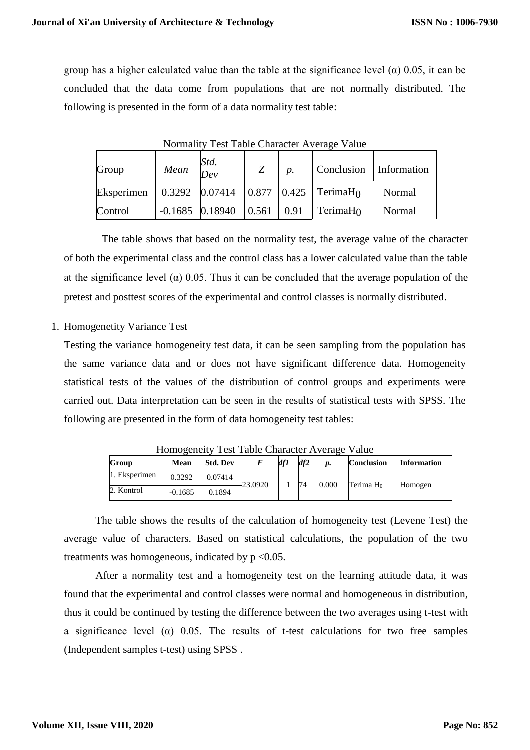group has a higher calculated value than the table at the significance level  $(\alpha)$  0.05, it can be concluded that the data come from populations that are not normally distributed. The following is presented in the form of a data normality test table:

| Group      | Mean | Std.<br>$\overline{Dev}$     | Z | $\boldsymbol{p}$ . | Conclusion Information                                                          |        |  |
|------------|------|------------------------------|---|--------------------|---------------------------------------------------------------------------------|--------|--|
| Eksperimen |      |                              |   |                    | $\vert 0.3292 \vert 0.07414 \vert 0.877 \vert 0.425 \vert$ TerimaH <sub>0</sub> | Normal |  |
| Control    |      | $-0.1685$ 0.18940 0.561 0.91 |   |                    | TerimaH $_0$                                                                    | Normal |  |

Normality Test Table Character Average Value

The table shows that based on the normality test, the average value of the character of both the experimental class and the control class has a lower calculated value than the table at the significance level ( $\alpha$ ) 0.05. Thus it can be concluded that the average population of the pretest and posttest scores of the experimental and control classes is normally distributed.

## 1. Homogenetity Variance Test

Testing the variance homogeneity test data, it can be seen sampling from the population has the same variance data and or does not have significant difference data. Homogeneity statistical tests of the values of the distribution of control groups and experiments were carried out. Data interpretation can be seen in the results of statistical tests with SPSS. The following are presented in the form of data homogeneity test tables:

| Group         | Mean      | <b>Std. Dev</b> |         | df 1 | df2 | p.    | <b>Conclusion</b>     | <b>Information</b> |
|---------------|-----------|-----------------|---------|------|-----|-------|-----------------------|--------------------|
| 1. Eksperimen | 0.3292    | 0.07414         | 23.0920 |      | 74  | 0.000 | Terima H <sub>0</sub> | Homogen            |
| 2. Kontrol    | $-0.1685$ | 0.1894          |         |      |     |       |                       |                    |

Homogeneity Test Table Character Average Value

The table shows the results of the calculation of homogeneity test (Levene Test) the average value of characters. Based on statistical calculations, the population of the two treatments was homogeneous, indicated by  $p \leq 0.05$ .

After a normality test and a homogeneity test on the learning attitude data, it was found that the experimental and control classes were normal and homogeneous in distribution, thus it could be continued by testing the difference between the two averages using t-test with a significance level ( $\alpha$ ) 0.05. The results of t-test calculations for two free samples (Independent samples t-test) using SPSS .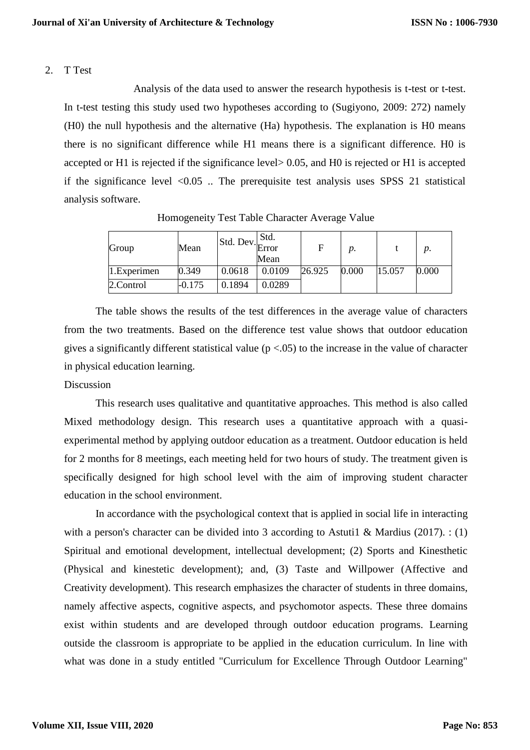#### 2. T Test

Analysis of the data used to answer the research hypothesis is t-test or t-test. In t-test testing this study used two hypotheses according to (Sugiyono, 2009: 272) namely (H0) the null hypothesis and the alternative (Ha) hypothesis. The explanation is H0 means there is no significant difference while H1 means there is a significant difference. H0 is accepted or H1 is rejected if the significance level> 0.05, and H0 is rejected or H1 is accepted if the significance level  $\langle 0.05 \rangle$ . The prerequisite test analysis uses SPSS 21 statistical analysis software.

| Group          | Mean   |        | Std.<br>Std. Dev. Error<br>Mean | F      | p.    |        | p.    |
|----------------|--------|--------|---------------------------------|--------|-------|--------|-------|
| $1.$ Experimen | 0.349  | 0.0618 | 0.0109                          | 26.925 | 0.000 | 15.057 | 0.000 |
| 2.Control      | -0.175 | 0.1894 | 0.0289                          |        |       |        |       |

Homogeneity Test Table Character Average Value

The table shows the results of the test differences in the average value of characters from the two treatments. Based on the difference test value shows that outdoor education gives a significantly different statistical value ( $p < .05$ ) to the increase in the value of character in physical education learning.

## Discussion

This research uses qualitative and quantitative approaches. This method is also called Mixed methodology design. This research uses a quantitative approach with a quasiexperimental method by applying outdoor education as a treatment. Outdoor education is held for 2 months for 8 meetings, each meeting held for two hours of study. The treatment given is specifically designed for high school level with the aim of improving student character education in the school environment.

In accordance with the psychological context that is applied in social life in interacting with a person's character can be divided into 3 according to Astuti1 & Mardius (2017). : (1) Spiritual and emotional development, intellectual development; (2) Sports and Kinesthetic (Physical and kinestetic development); and, (3) Taste and Willpower (Affective and Creativity development). This research emphasizes the character of students in three domains, namely affective aspects, cognitive aspects, and psychomotor aspects. These three domains exist within students and are developed through outdoor education programs. Learning outside the classroom is appropriate to be applied in the education curriculum. In line with what was done in a study entitled "Curriculum for Excellence Through Outdoor Learning"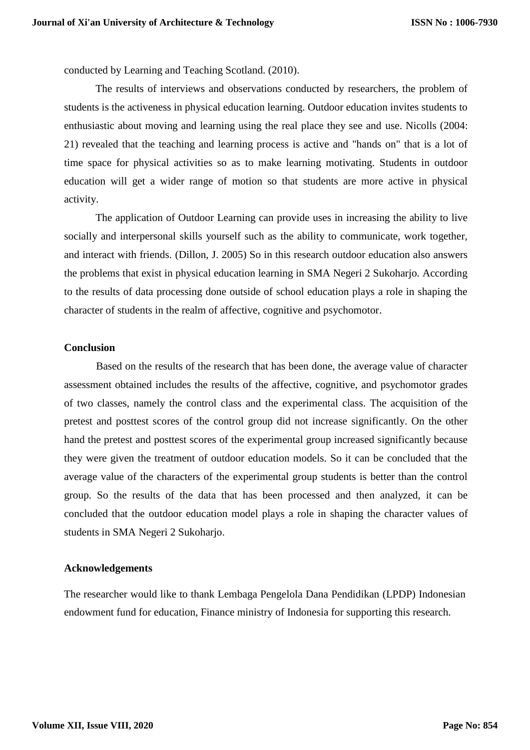conducted by Learning and Teaching Scotland. (2010).

The results of interviews and observations conducted by researchers, the problem of students is the activeness in physical education learning. Outdoor education invites students to enthusiastic about moving and learning using the real place they see and use. Nicolls (2004: 21) revealed that the teaching and learning process is active and "hands on" that is a lot of time space for physical activities so as to make learning motivating. Students in outdoor education will get a wider range of motion so that students are more active in physical activity.

The application of Outdoor Learning can provide uses in increasing the ability to live socially and interpersonal skills yourself such as the ability to communicate, work together, and interact with friends. (Dillon, J. 2005) So in this research outdoor education also answers the problems that exist in physical education learning in SMA Negeri 2 Sukoharjo. According to the results of data processing done outside of school education plays a role in shaping the character of students in the realm of affective, cognitive and psychomotor.

#### **Conclusion**

Based on the results of the research that has been done, the average value of character assessment obtained includes the results of the affective, cognitive, and psychomotor grades of two classes, namely the control class and the experimental class. The acquisition of the pretest and posttest scores of the control group did not increase significantly. On the other hand the pretest and posttest scores of the experimental group increased significantly because they were given the treatment of outdoor education models. So it can be concluded that the average value of the characters of the experimental group students is better than the control group. So the results of the data that has been processed and then analyzed, it can be concluded that the outdoor education model plays a role in shaping the character values of students in SMA Negeri 2 Sukoharjo.

#### **Acknowledgements**

The researcher would like to thank Lembaga Pengelola Dana Pendidikan (LPDP) Indonesian endowment fund for education, Finance ministry of Indonesia for supporting this research.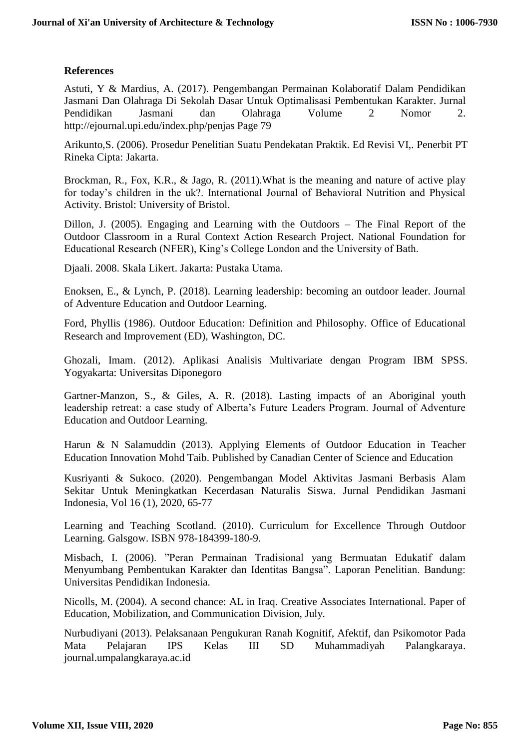# **References**

Astuti, Y & Mardius, A. (2017). Pengembangan Permainan Kolaboratif Dalam Pendidikan Jasmani Dan Olahraga Di Sekolah Dasar Untuk Optimalisasi Pembentukan Karakter. Jurnal Pendidikan Jasmani dan Olahraga Volume 2 Nomor 2. http://ejournal.upi.edu/index.php/penjas Page 79

Arikunto,S. (2006). Prosedur Penelitian Suatu Pendekatan Praktik. Ed Revisi VI,. Penerbit PT Rineka Cipta: Jakarta.

Brockman, R., Fox, K.R., & Jago, R. (2011).What is the meaning and nature of active play for today's children in the uk?. International Journal of Behavioral Nutrition and Physical Activity. Bristol: University of Bristol.

Dillon, J. (2005). Engaging and Learning with the Outdoors – The Final Report of the Outdoor Classroom in a Rural Context Action Research Project. National Foundation for Educational Research (NFER), King's College London and the University of Bath.

Djaali. 2008. Skala Likert. Jakarta: Pustaka Utama.

Enoksen, E., & Lynch, P. (2018). Learning leadership: becoming an outdoor leader. Journal of Adventure Education and Outdoor Learning.

Ford, Phyllis (1986). [Outdoor Education: Definition and Philosophy.](https://eric.ed.gov/?id=ED267941) Office of Educational Research and Improvement (ED), Washington, DC.

Ghozali, Imam. (2012). Aplikasi Analisis Multivariate dengan Program IBM SPSS. Yogyakarta: Universitas Diponegoro

Gartner-Manzon, S., & Giles, A. R. (2018). Lasting impacts of an Aboriginal youth leadership retreat: a case study of Alberta's Future Leaders Program. Journal of Adventure Education and Outdoor Learning.

Harun & N Salamuddin (2013). Applying Elements of Outdoor Education in Teacher Education Innovation Mohd Taib. Published by Canadian Center of Science and Education

Kusriyanti & Sukoco. (2020). Pengembangan Model Aktivitas Jasmani Berbasis Alam Sekitar Untuk Meningkatkan Kecerdasan Naturalis Siswa. Jurnal Pendidikan Jasmani Indonesia, Vol 16 (1), 2020, 65-77

Learning and Teaching Scotland. (2010). Curriculum for Excellence Through Outdoor Learning. Galsgow. ISBN 978-184399-180-9.

Misbach, I. (2006). "Peran Permainan Tradisional yang Bermuatan Edukatif dalam Menyumbang Pembentukan Karakter dan Identitas Bangsa". Laporan Penelitian. Bandung: Universitas Pendidikan Indonesia.

Nicolls, M. (2004). A second chance: AL in Iraq. Creative Associates International. Paper of Education, Mobilization, and Communication Division, July.

[Nurbudiyani](https://scholar.google.com/citations?user=duPMesIAAAAJ&hl=en&oi=sra) (2013). Pelaksanaan Pengukuran Ranah Kognitif, Afektif, dan Psikomotor Pada Mata Pelajaran IPS Kelas III SD Muhammadiyah Palangkaraya. journal.umpalangkaraya.ac.id